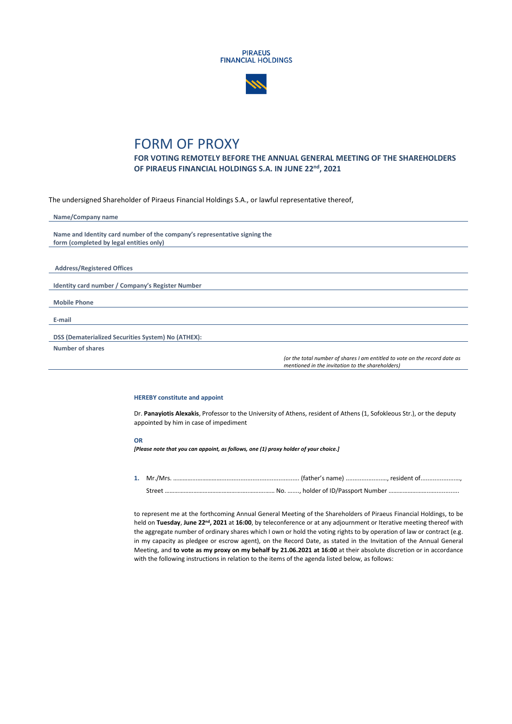



## FORM OF PROXY

**FOR VOTING REMOTELY BEFORE THE ANNUAL GENERAL MEETING OF THE SHAREHOLDERS OF PIRAEUS FINANCIAL HOLDINGS S.A. IN JUNE 22nd, 2021**

The undersigned Shareholder of Piraeus Financial Holdings S.A., or lawful representative thereof,

| Name/Company name                                                                                                              |
|--------------------------------------------------------------------------------------------------------------------------------|
|                                                                                                                                |
| Name and Identity card number of the company's representative signing the                                                      |
| form (completed by legal entities only)                                                                                        |
|                                                                                                                                |
|                                                                                                                                |
| <b>Address/Registered Offices</b>                                                                                              |
|                                                                                                                                |
| Identity card number / Company's Register Number                                                                               |
|                                                                                                                                |
| <b>Mobile Phone</b>                                                                                                            |
|                                                                                                                                |
| E-mail                                                                                                                         |
|                                                                                                                                |
| DSS (Dematerialized Securities System) No (ATHEX):                                                                             |
| Number of shares                                                                                                               |
| (or the total number of shares I am entitled to vote on the record date as<br>mentioned in the invitation to the shareholders) |

## **HEREBY constitute and appoint**

Dr. **Panayiotis Alexakis**, Professor to the University of Athens, resident of Athens (1, Sofokleous Str.), or the deputy appointed by him in case of impediment

## **OR**

*[Please note that you can appoint, as follows, one (1) proxy holder of your choice.]*

**1.** Mr./Mrs. …………...……………............................................. (father's name) .....................…, resident of....................…, Street ……………………………………………..……….…… No. …...., holder of ID/Passport Number ……………………..…..............

to represent me at the forthcoming Annual General Meeting of the Shareholders of Piraeus Financial Holdings, to be held on **Tuesday**, **June 22nd, 2021** at **16:00**, by teleconference or at any adjournment or Iterative meeting thereof with the aggregate number of ordinary shares which I own or hold the voting rights to by operation of law or contract (e.g. in my capacity as pledgee or escrow agent), on the Record Date, as stated in the Invitation of the Annual General Meeting, and **to vote as my proxy on my behalf by 21.06.2021 at 16:00** at their absolute discretion or in accordance with the following instructions in relation to the items of the agenda listed below, as follows: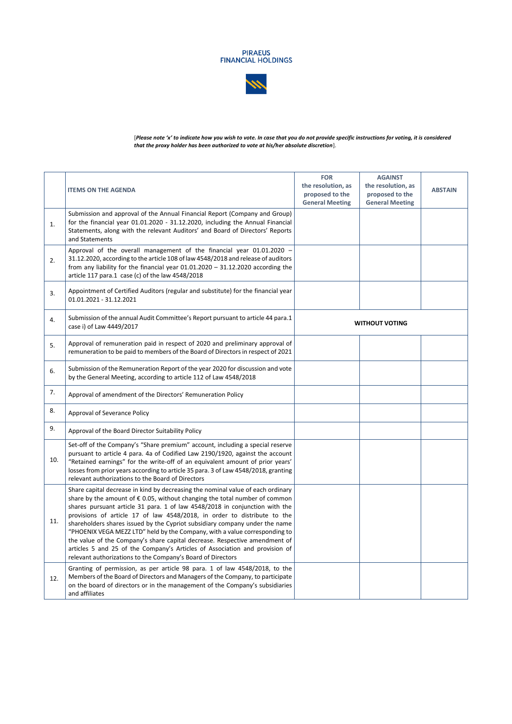



[*Please note 'x' to indicate how you wish to vote. In case that you do not provide specific instructions for voting, it is considered that the proxy holder has been authorized to vote at his/her absolute discretion*].

|     | <b>ITEMS ON THE AGENDA</b>                                                                                                                                                                                                                                                                                                                                                                                                                                                                                                                                                                                                                                                                                                 | <b>FOR</b><br>the resolution, as<br>proposed to the<br><b>General Meeting</b> | <b>AGAINST</b><br>the resolution, as<br>proposed to the<br><b>General Meeting</b> | <b>ABSTAIN</b> |
|-----|----------------------------------------------------------------------------------------------------------------------------------------------------------------------------------------------------------------------------------------------------------------------------------------------------------------------------------------------------------------------------------------------------------------------------------------------------------------------------------------------------------------------------------------------------------------------------------------------------------------------------------------------------------------------------------------------------------------------------|-------------------------------------------------------------------------------|-----------------------------------------------------------------------------------|----------------|
| 1.  | Submission and approval of the Annual Financial Report (Company and Group)<br>for the financial year 01.01.2020 - 31.12.2020, including the Annual Financial<br>Statements, along with the relevant Auditors' and Board of Directors' Reports<br>and Statements                                                                                                                                                                                                                                                                                                                                                                                                                                                            |                                                                               |                                                                                   |                |
| 2.  | Approval of the overall management of the financial year 01.01.2020 -<br>31.12.2020, according to the article 108 of law 4548/2018 and release of auditors<br>from any liability for the financial year $01.01.2020 - 31.12.2020$ according the<br>article 117 para.1 case (c) of the law 4548/2018                                                                                                                                                                                                                                                                                                                                                                                                                        |                                                                               |                                                                                   |                |
| 3.  | Appointment of Certified Auditors (regular and substitute) for the financial year<br>01.01.2021 - 31.12.2021                                                                                                                                                                                                                                                                                                                                                                                                                                                                                                                                                                                                               |                                                                               |                                                                                   |                |
| 4.  | Submission of the annual Audit Committee's Report pursuant to article 44 para.1<br>case i) of Law 4449/2017                                                                                                                                                                                                                                                                                                                                                                                                                                                                                                                                                                                                                | <b>WITHOUT VOTING</b>                                                         |                                                                                   |                |
| 5.  | Approval of remuneration paid in respect of 2020 and preliminary approval of<br>remuneration to be paid to members of the Board of Directors in respect of 2021                                                                                                                                                                                                                                                                                                                                                                                                                                                                                                                                                            |                                                                               |                                                                                   |                |
| 6.  | Submission of the Remuneration Report of the year 2020 for discussion and vote<br>by the General Meeting, according to article 112 of Law 4548/2018                                                                                                                                                                                                                                                                                                                                                                                                                                                                                                                                                                        |                                                                               |                                                                                   |                |
| 7.  | Approval of amendment of the Directors' Remuneration Policy                                                                                                                                                                                                                                                                                                                                                                                                                                                                                                                                                                                                                                                                |                                                                               |                                                                                   |                |
| 8.  | Approval of Severance Policy                                                                                                                                                                                                                                                                                                                                                                                                                                                                                                                                                                                                                                                                                               |                                                                               |                                                                                   |                |
| 9.  | Approval of the Board Director Suitability Policy                                                                                                                                                                                                                                                                                                                                                                                                                                                                                                                                                                                                                                                                          |                                                                               |                                                                                   |                |
| 10. | Set-off of the Company's "Share premium" account, including a special reserve<br>pursuant to article 4 para. 4a of Codified Law 2190/1920, against the account<br>"Retained earnings" for the write-off of an equivalent amount of prior years'<br>losses from prior years according to article 35 para. 3 of Law 4548/2018, granting<br>relevant authorizations to the Board of Directors                                                                                                                                                                                                                                                                                                                                 |                                                                               |                                                                                   |                |
| 11. | Share capital decrease in kind by decreasing the nominal value of each ordinary<br>share by the amount of $\epsilon$ 0.05, without changing the total number of common<br>shares pursuant article 31 para. 1 of law 4548/2018 in conjunction with the<br>provisions of article 17 of law 4548/2018, in order to distribute to the<br>shareholders shares issued by the Cypriot subsidiary company under the name<br>"PHOENIX VEGA MEZZ LTD" held by the Company, with a value corresponding to<br>the value of the Company's share capital decrease. Respective amendment of<br>articles 5 and 25 of the Company's Articles of Association and provision of<br>relevant authorizations to the Company's Board of Directors |                                                                               |                                                                                   |                |
| 12. | Granting of permission, as per article 98 para. 1 of law 4548/2018, to the<br>Members of the Board of Directors and Managers of the Company, to participate<br>on the board of directors or in the management of the Company's subsidiaries<br>and affiliates                                                                                                                                                                                                                                                                                                                                                                                                                                                              |                                                                               |                                                                                   |                |